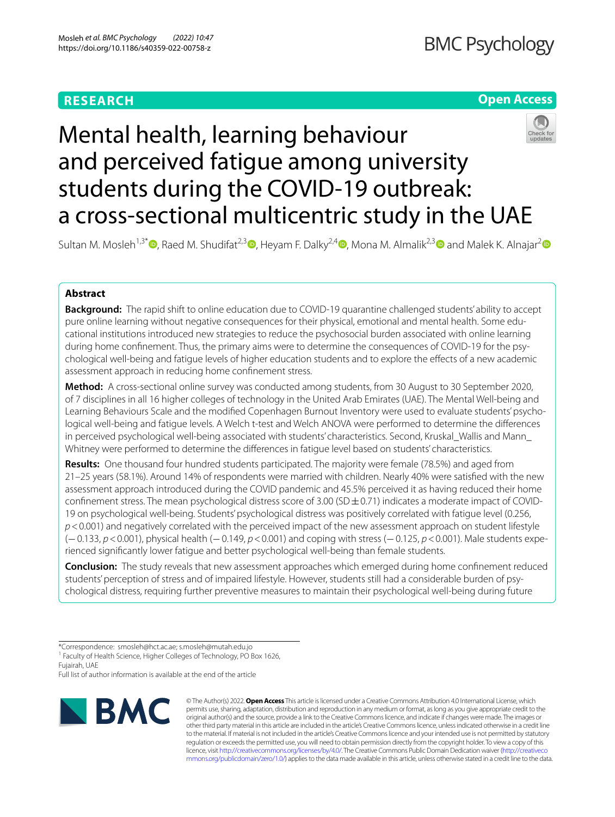# **RESEARCH**

## **Open Access**



# Mental health, learning behaviour and perceived fatigue among university students during the COVID-19 outbreak: a cross-sectional multicentric study in the UAE

Sultan M. Mosleh<sup>1,3[\\*](https://orcid.org/0000-0002-1491-7413)</sup>  $\Phi$ [,](https://orcid.org/0000-0002-5744-4038) Raed M. Shudifat<sup>2,[3](https://orcid.org/0000-0002-6710-706X)</sup>  $\Phi$ , Heyam F. Dalky<sup>[2](https://orcid.org/0000-0003-0666-4396),4</sup>  $\Phi$ , Mona M. Almalik<sup>2,3</sup>  $\Phi$  and Malek K. Alnajar<sup>2</sup>  $\Phi$ 

## **Abstract**

**Background:** The rapid shift to online education due to COVID-19 quarantine challenged students' ability to accept pure online learning without negative consequences for their physical, emotional and mental health. Some educational institutions introduced new strategies to reduce the psychosocial burden associated with online learning during home confnement. Thus, the primary aims were to determine the consequences of COVID-19 for the psychological well-being and fatigue levels of higher education students and to explore the efects of a new academic assessment approach in reducing home confnement stress.

**Method:** A cross-sectional online survey was conducted among students, from 30 August to 30 September 2020, of 7 disciplines in all 16 higher colleges of technology in the United Arab Emirates (UAE). The Mental Well-being and Learning Behaviours Scale and the modifed Copenhagen Burnout Inventory were used to evaluate students' psychological well-being and fatigue levels. A Welch t-test and Welch ANOVA were performed to determine the diferences in perceived psychological well-being associated with students' characteristics. Second, Kruskal\_Wallis and Mann\_ Whitney were performed to determine the diferences in fatigue level based on students' characteristics.

**Results:** One thousand four hundred students participated. The majority were female (78.5%) and aged from 21–25 years (58.1%). Around 14% of respondents were married with children. Nearly 40% were satisfed with the new assessment approach introduced during the COVID pandemic and 45.5% perceived it as having reduced their home confinement stress. The mean psychological distress score of 3.00 (SD $\pm$ 0.71) indicates a moderate impact of COVID-19 on psychological well-being. Students' psychological distress was positively correlated with fatigue level (0.256, *p*<0.001) and negatively correlated with the perceived impact of the new assessment approach on student lifestyle (−0.133, *p*<0.001), physical health (−0.149, *p*<0.001) and coping with stress (−0.125, *p*<0.001). Male students experienced signifcantly lower fatigue and better psychological well-being than female students.

**Conclusion:** The study reveals that new assessment approaches which emerged during home confinement reduced students' perception of stress and of impaired lifestyle. However, students still had a considerable burden of psychological distress, requiring further preventive measures to maintain their psychological well-being during future

<sup>1</sup> Faculty of Health Science, Higher Colleges of Technology, PO Box 1626, Fujairah, UAE

Full list of author information is available at the end of the article



© The Author(s) 2022. **Open Access** This article is licensed under a Creative Commons Attribution 4.0 International License, which permits use, sharing, adaptation, distribution and reproduction in any medium or format, as long as you give appropriate credit to the original author(s) and the source, provide a link to the Creative Commons licence, and indicate if changes were made. The images or other third party material in this article are included in the article's Creative Commons licence, unless indicated otherwise in a credit line to the material. If material is not included in the article's Creative Commons licence and your intended use is not permitted by statutory regulation or exceeds the permitted use, you will need to obtain permission directly from the copyright holder. To view a copy of this licence, visit [http://creativecommons.org/licenses/by/4.0/.](http://creativecommons.org/licenses/by/4.0/) The Creative Commons Public Domain Dedication waiver ([http://creativeco](http://creativecommons.org/publicdomain/zero/1.0/) [mmons.org/publicdomain/zero/1.0/](http://creativecommons.org/publicdomain/zero/1.0/)) applies to the data made available in this article, unless otherwise stated in a credit line to the data.

<sup>\*</sup>Correspondence: smosleh@hct.ac.ae; s.mosleh@mutah.edu.jo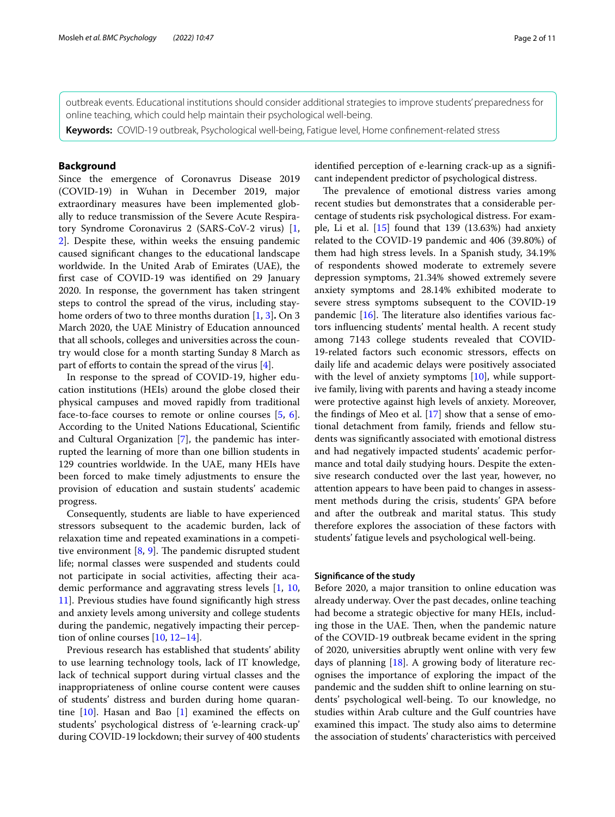outbreak events. Educational institutions should consider additional strategies to improve students' preparedness for

online teaching, which could help maintain their psychological well-being.

**Keywords:** COVID-19 outbreak, Psychological well-being, Fatigue level, Home confnement-related stress

## **Background**

Since the emergence of Coronavrus Disease 2019 (COVID-19) in Wuhan in December 2019, major extraordinary measures have been implemented globally to reduce transmission of the Severe Acute Respiratory Syndrome Coronavirus 2 (SARS-CoV-2 virus) [\[1](#page-10-0), [2\]](#page-10-1). Despite these, within weeks the ensuing pandemic caused signifcant changes to the educational landscape worldwide. In the United Arab of Emirates (UAE), the frst case of COVID-19 was identifed on 29 January 2020. In response, the government has taken stringent steps to control the spread of the virus, including stayhome orders of two to three months duration [[1,](#page-10-0) [3](#page-10-2)]**.** On 3 March 2020, the UAE Ministry of Education announced that all schools, colleges and universities across the country would close for a month starting Sunday 8 March as part of efforts to contain the spread of the virus  $[4]$  $[4]$ .

In response to the spread of COVID-19, higher education institutions (HEIs) around the globe closed their physical campuses and moved rapidly from traditional face-to-face courses to remote or online courses [\[5](#page-10-4), [6](#page-10-5)]. According to the United Nations Educational, Scientifc and Cultural Organization [[7\]](#page-10-6), the pandemic has interrupted the learning of more than one billion students in 129 countries worldwide. In the UAE, many HEIs have been forced to make timely adjustments to ensure the provision of education and sustain students' academic progress.

Consequently, students are liable to have experienced stressors subsequent to the academic burden, lack of relaxation time and repeated examinations in a competitive environment  $[8, 9]$  $[8, 9]$  $[8, 9]$  $[8, 9]$ . The pandemic disrupted student life; normal classes were suspended and students could not participate in social activities, afecting their academic performance and aggravating stress levels [[1,](#page-10-0) [10](#page-10-9), [11\]](#page-10-10). Previous studies have found signifcantly high stress and anxiety levels among university and college students during the pandemic, negatively impacting their perception of online courses [\[10,](#page-10-9) [12](#page-10-11)[–14](#page-10-12)].

Previous research has established that students' ability to use learning technology tools, lack of IT knowledge, lack of technical support during virtual classes and the inappropriateness of online course content were causes of students' distress and burden during home quarantine  $[10]$  $[10]$ . Hasan and Bao  $[1]$  examined the effects on students' psychological distress of 'e-learning crack-up' during COVID-19 lockdown; their survey of 400 students identifed perception of e-learning crack-up as a signifcant independent predictor of psychological distress.

The prevalence of emotional distress varies among recent studies but demonstrates that a considerable percentage of students risk psychological distress. For example, Li et al.  $[15]$  $[15]$  found that 139 (13.63%) had anxiety related to the COVID-19 pandemic and 406 (39.80%) of them had high stress levels. In a Spanish study, 34.19% of respondents showed moderate to extremely severe depression symptoms, 21.34% showed extremely severe anxiety symptoms and 28.14% exhibited moderate to severe stress symptoms subsequent to the COVID-19 pandemic  $[16]$  $[16]$  $[16]$ . The literature also identifies various factors infuencing students' mental health. A recent study among 7143 college students revealed that COVID-19-related factors such economic stressors, efects on daily life and academic delays were positively associated with the level of anxiety symptoms [[10\]](#page-10-9), while supportive family, living with parents and having a steady income were protective against high levels of anxiety. Moreover, the fndings of Meo et al. [[17\]](#page-10-15) show that a sense of emotional detachment from family, friends and fellow students was signifcantly associated with emotional distress and had negatively impacted students' academic performance and total daily studying hours. Despite the extensive research conducted over the last year, however, no attention appears to have been paid to changes in assessment methods during the crisis, students' GPA before and after the outbreak and marital status. This study therefore explores the association of these factors with students' fatigue levels and psychological well-being.

#### **Signifcance of the study**

Before 2020, a major transition to online education was already underway. Over the past decades, online teaching had become a strategic objective for many HEIs, including those in the UAE. Then, when the pandemic nature of the COVID-19 outbreak became evident in the spring of 2020, universities abruptly went online with very few days of planning [\[18](#page-10-16)]. A growing body of literature recognises the importance of exploring the impact of the pandemic and the sudden shift to online learning on students' psychological well-being. To our knowledge, no studies within Arab culture and the Gulf countries have examined this impact. The study also aims to determine the association of students' characteristics with perceived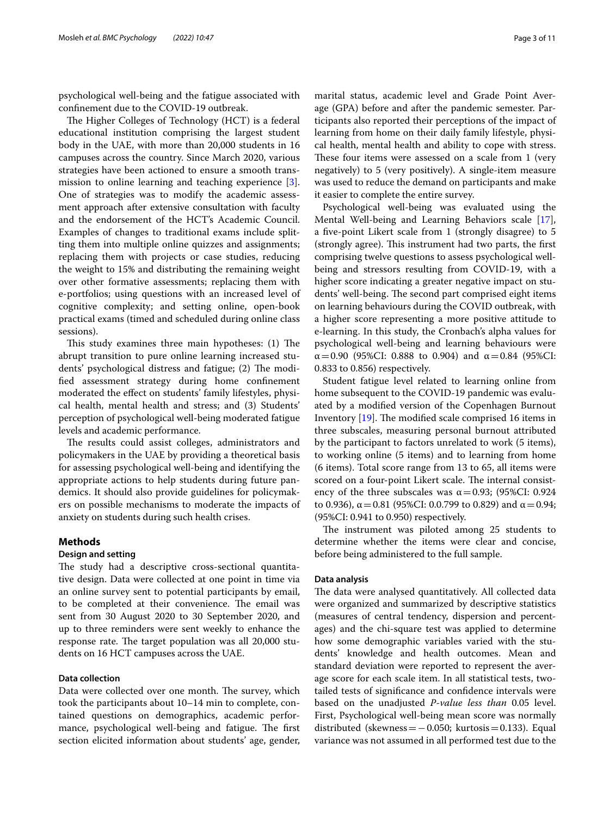psychological well-being and the fatigue associated with confnement due to the COVID-19 outbreak.

The Higher Colleges of Technology (HCT) is a federal educational institution comprising the largest student body in the UAE, with more than 20,000 students in 16 campuses across the country. Since March 2020, various strategies have been actioned to ensure a smooth transmission to online learning and teaching experience [\[3](#page-10-2)]. One of strategies was to modify the academic assessment approach after extensive consultation with faculty and the endorsement of the HCT's Academic Council. Examples of changes to traditional exams include splitting them into multiple online quizzes and assignments; replacing them with projects or case studies, reducing the weight to 15% and distributing the remaining weight over other formative assessments; replacing them with e-portfolios; using questions with an increased level of cognitive complexity; and setting online, open-book practical exams (timed and scheduled during online class sessions).

This study examines three main hypotheses:  $(1)$  The abrupt transition to pure online learning increased students' psychological distress and fatigue; (2) The modifed assessment strategy during home confnement moderated the efect on students' family lifestyles, physical health, mental health and stress; and (3) Students' perception of psychological well-being moderated fatigue levels and academic performance.

The results could assist colleges, administrators and policymakers in the UAE by providing a theoretical basis for assessing psychological well-being and identifying the appropriate actions to help students during future pandemics. It should also provide guidelines for policymakers on possible mechanisms to moderate the impacts of anxiety on students during such health crises.

## **Methods**

## **Design and setting**

The study had a descriptive cross-sectional quantitative design. Data were collected at one point in time via an online survey sent to potential participants by email, to be completed at their convenience. The email was sent from 30 August 2020 to 30 September 2020, and up to three reminders were sent weekly to enhance the response rate. The target population was all 20,000 students on 16 HCT campuses across the UAE.

## **Data collection**

Data were collected over one month. The survey, which took the participants about 10–14 min to complete, contained questions on demographics, academic performance, psychological well-being and fatigue. The first section elicited information about students' age, gender, marital status, academic level and Grade Point Average (GPA) before and after the pandemic semester. Participants also reported their perceptions of the impact of learning from home on their daily family lifestyle, physical health, mental health and ability to cope with stress. These four items were assessed on a scale from 1 (very negatively) to 5 (very positively). A single-item measure was used to reduce the demand on participants and make it easier to complete the entire survey.

Psychological well-being was evaluated using the Mental Well-being and Learning Behaviors scale [\[17](#page-10-15)], a fve-point Likert scale from 1 (strongly disagree) to 5 (strongly agree). This instrument had two parts, the first comprising twelve questions to assess psychological wellbeing and stressors resulting from COVID-19, with a higher score indicating a greater negative impact on students' well-being. The second part comprised eight items on learning behaviours during the COVID outbreak, with a higher score representing a more positive attitude to e-learning. In this study, the Cronbach's alpha values for psychological well-being and learning behaviours were α=0.90 (95%CI: 0.888 to 0.904) and α=0.84 (95%CI: 0.833 to 0.856) respectively.

Student fatigue level related to learning online from home subsequent to the COVID-19 pandemic was evaluated by a modifed version of the Copenhagen Burnout Inventory  $[19]$  $[19]$ . The modified scale comprised 16 items in three subscales, measuring personal burnout attributed by the participant to factors unrelated to work (5 items), to working online (5 items) and to learning from home (6 items). Total score range from 13 to 65, all items were scored on a four-point Likert scale. The internal consistency of the three subscales was  $\alpha$  = 0.93; (95%CI: 0.924 to 0.936),  $\alpha$  = 0.81 (95%CI: 0.0.799 to 0.829) and  $\alpha$  = 0.94; (95%CI: 0.941 to 0.950) respectively.

The instrument was piloted among 25 students to determine whether the items were clear and concise, before being administered to the full sample.

#### **Data analysis**

The data were analysed quantitatively. All collected data were organized and summarized by descriptive statistics (measures of central tendency, dispersion and percentages) and the chi-square test was applied to determine how some demographic variables varied with the students' knowledge and health outcomes. Mean and standard deviation were reported to represent the average score for each scale item. In all statistical tests, twotailed tests of signifcance and confdence intervals were based on the unadjusted *P-value less than* 0.05 level. First, Psychological well-being mean score was normally distributed (skewness =  $-0.050$ ; kurtosis = 0.133). Equal variance was not assumed in all performed test due to the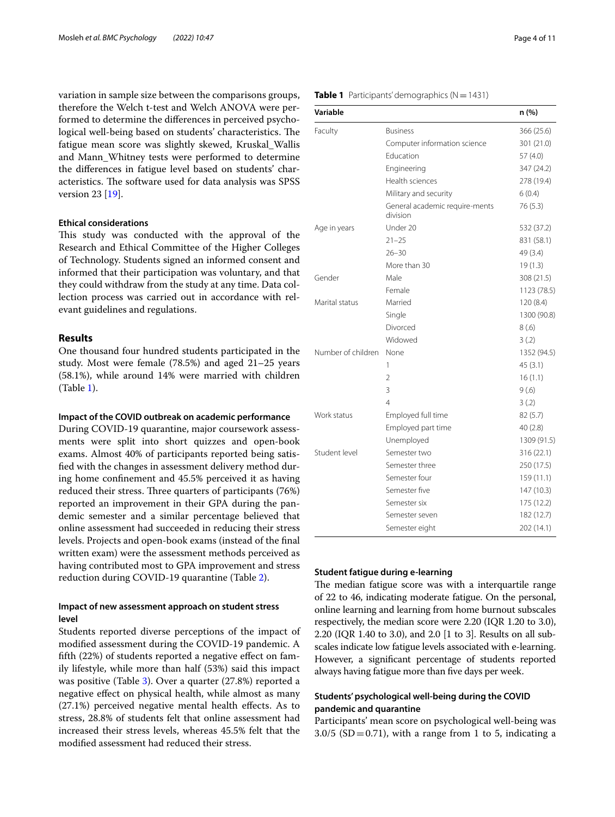variation in sample size between the comparisons groups, therefore the Welch t-test and Welch ANOVA were performed to determine the diferences in perceived psychological well-being based on students' characteristics. The fatigue mean score was slightly skewed, Kruskal\_Wallis and Mann\_Whitney tests were performed to determine the diferences in fatigue level based on students' characteristics. The software used for data analysis was SPSS version 23 [\[19\]](#page-10-17).

#### **Ethical considerations**

This study was conducted with the approval of the Research and Ethical Committee of the Higher Colleges of Technology. Students signed an informed consent and informed that their participation was voluntary, and that they could withdraw from the study at any time. Data collection process was carried out in accordance with relevant guidelines and regulations.

## **Results**

One thousand four hundred students participated in the study. Most were female (78.5%) and aged 21–25 years (58.1%), while around 14% were married with children (Table [1](#page-3-0)).

#### **Impact of the COVID outbreak on academic performance**

During COVID-19 quarantine, major coursework assessments were split into short quizzes and open-book exams. Almost 40% of participants reported being satisfed with the changes in assessment delivery method during home confnement and 45.5% perceived it as having reduced their stress. Three quarters of participants (76%) reported an improvement in their GPA during the pandemic semester and a similar percentage believed that online assessment had succeeded in reducing their stress levels. Projects and open-book exams (instead of the fnal written exam) were the assessment methods perceived as having contributed most to GPA improvement and stress reduction during COVID-19 quarantine (Table [2\)](#page-4-0).

## **Impact of new assessment approach on student stress level**

Students reported diverse perceptions of the impact of modifed assessment during the COVID-19 pandemic. A ffth (22%) of students reported a negative efect on family lifestyle, while more than half (53%) said this impact was positive (Table [3\)](#page-4-1). Over a quarter (27.8%) reported a negative efect on physical health, while almost as many (27.1%) perceived negative mental health efects. As to stress, 28.8% of students felt that online assessment had increased their stress levels, whereas 45.5% felt that the modifed assessment had reduced their stress.

#### <span id="page-3-0"></span>**Table 1** Participants' demographics  $(N = 1431)$

| Variable           |                                            | n (%)       |
|--------------------|--------------------------------------------|-------------|
| Faculty            | <b>Business</b>                            | 366 (25.6)  |
|                    | Computer information science               | 301 (21.0)  |
|                    | Education                                  | 57(4.0)     |
|                    | Engineering                                | 347 (24.2)  |
|                    | Health sciences                            | 278 (19.4)  |
|                    | Military and security                      | 6(0.4)      |
|                    | General academic require-ments<br>division | 76 (5.3)    |
| Age in years       | Under 20                                   | 532 (37.2)  |
|                    | $21 - 25$                                  | 831 (58.1)  |
|                    | $26 - 30$                                  | 49 (3.4)    |
|                    | More than 30                               | 19(1.3)     |
| Gender             | Male                                       | 308 (21.5)  |
|                    | Female                                     | 1123 (78.5) |
| Marital status     | Married                                    | 120 (8.4)   |
|                    | Single                                     | 1300 (90.8) |
|                    | Divorced                                   | 8(.6)       |
|                    | Widowed                                    | 3(.2)       |
| Number of children | None                                       | 1352 (94.5) |
|                    | 1                                          | 45(3.1)     |
|                    | $\overline{2}$                             | 16(1.1)     |
|                    | 3                                          | 9(.6)       |
|                    | 4                                          | 3(.2)       |
| Work status        | Employed full time                         | 82(5.7)     |
|                    | Employed part time                         | 40(2.8)     |
|                    | Unemployed                                 | 1309 (91.5) |
| Student level      | Semester two                               | 316(22.1)   |
|                    | Semester three                             | 250 (17.5)  |
|                    | Semester four                              | 159 (11.1)  |
|                    | Semester five                              | 147 (10.3)  |
|                    | Semester six                               | 175 (12.2)  |
|                    | Semester seven                             | 182 (12.7)  |
|                    | Semester eight                             | 202 (14.1)  |

#### **Student fatigue during e‑learning**

The median fatigue score was with a interquartile range of 22 to 46, indicating moderate fatigue. On the personal, online learning and learning from home burnout subscales respectively, the median score were 2.20 (IQR 1.20 to 3.0), 2.20 (IQR 1.40 to 3.0), and 2.0 [1 to 3]. Results on all subscales indicate low fatigue levels associated with e-learning. However, a signifcant percentage of students reported always having fatigue more than fve days per week.

## **Students' psychological well‑being during the COVID pandemic and quarantine**

Participants' mean score on psychological well-being was  $3.0/5$  (SD = 0.71), with a range from 1 to 5, indicating a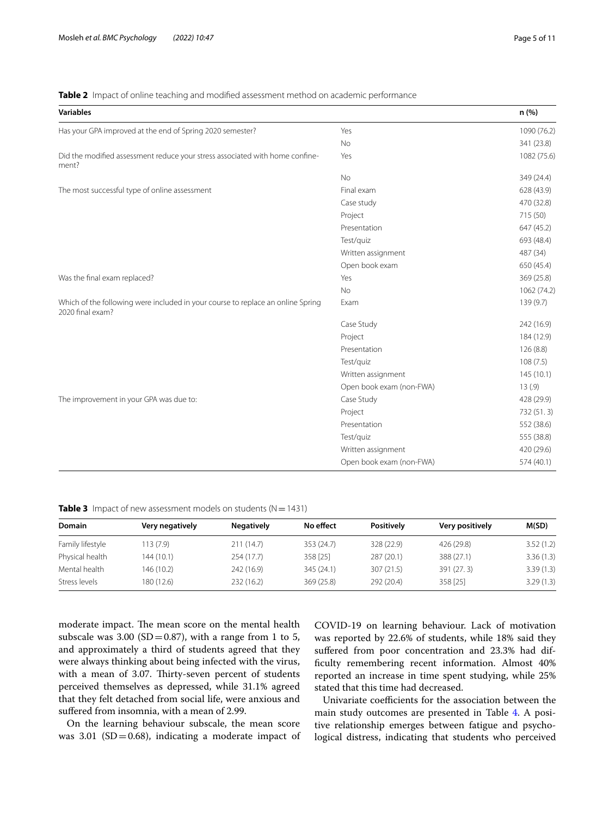## <span id="page-4-0"></span>**Table 2** Impact of online teaching and modified assessment method on academic performance

| <b>Variables</b>                                                                                    |                          | n (%)       |
|-----------------------------------------------------------------------------------------------------|--------------------------|-------------|
| Has your GPA improved at the end of Spring 2020 semester?                                           | Yes                      | 1090 (76.2) |
|                                                                                                     | <b>No</b>                | 341 (23.8)  |
| Did the modified assessment reduce your stress associated with home confine-<br>ment?               | Yes                      | 1082 (75.6) |
|                                                                                                     | <b>No</b>                | 349 (24.4)  |
| The most successful type of online assessment                                                       | Final exam               | 628 (43.9)  |
|                                                                                                     | Case study               | 470 (32.8)  |
|                                                                                                     | Project                  | 715 (50)    |
|                                                                                                     | Presentation             | 647 (45.2)  |
|                                                                                                     | Test/quiz                | 693 (48.4)  |
|                                                                                                     | Written assignment       | 487 (34)    |
|                                                                                                     | Open book exam           | 650 (45.4)  |
| Was the final exam replaced?                                                                        | Yes                      | 369 (25.8)  |
|                                                                                                     | <b>No</b>                | 1062 (74.2) |
| Which of the following were included in your course to replace an online Spring<br>2020 final exam? | Exam                     | 139 (9.7)   |
|                                                                                                     | Case Study               | 242 (16.9)  |
|                                                                                                     | Project                  | 184 (12.9)  |
|                                                                                                     | Presentation             | 126(8.8)    |
|                                                                                                     | Test/quiz                | 108(7.5)    |
|                                                                                                     | Written assignment       | 145(10.1)   |
|                                                                                                     | Open book exam (non-FWA) | 13(.9)      |
| The improvement in your GPA was due to:                                                             | Case Study               | 428 (29.9)  |
|                                                                                                     | Project                  | 732 (51.3)  |
|                                                                                                     | Presentation             | 552 (38.6)  |
|                                                                                                     | Test/quiz                | 555 (38.8)  |
|                                                                                                     | Written assignment       | 420 (29.6)  |
|                                                                                                     | Open book exam (non-FWA) | 574 (40.1)  |

<span id="page-4-1"></span>**Table 3** Impact of new assessment models on students ( $N = 1431$ )

| Domain           | Very negatively | <b>Negatively</b> | No effect  | Positively | Very positively | M(SD)     |
|------------------|-----------------|-------------------|------------|------------|-----------------|-----------|
| Family lifestyle | 113(7.9)        | 211(14.7)         | 353 (24.7) | 328 (22.9) | 426 (29.8)      | 3.52(1.2) |
| Physical health  | 144 (10.1)      | 254 (17.7)        | 358 [25]   | 287 (20.1) | 388 (27.1)      | 3.36(1.3) |
| Mental health    | 146 (10.2)      | 242 (16.9)        | 345 (24.1) | 307(21.5)  | 391 (27.3)      | 3.39(1.3) |
| Stress levels    | 180 (12.6)      | 232 (16.2)        | 369(25.8)  | 292 (20.4) | 358 [25]        | 3.29(1.3) |

moderate impact. The mean score on the mental health subscale was 3.00 (SD=0.87), with a range from 1 to 5, and approximately a third of students agreed that they were always thinking about being infected with the virus, with a mean of 3.07. Thirty-seven percent of students perceived themselves as depressed, while 31.1% agreed that they felt detached from social life, were anxious and sufered from insomnia, with a mean of 2.99.

On the learning behaviour subscale, the mean score was 3.01 ( $SD = 0.68$ ), indicating a moderate impact of COVID-19 on learning behaviour. Lack of motivation was reported by 22.6% of students, while 18% said they suffered from poor concentration and 23.3% had difficulty remembering recent information. Almost 40% reported an increase in time spent studying, while 25% stated that this time had decreased.

Univariate coefficients for the association between the main study outcomes are presented in Table [4](#page-5-0). A positive relationship emerges between fatigue and psychological distress, indicating that students who perceived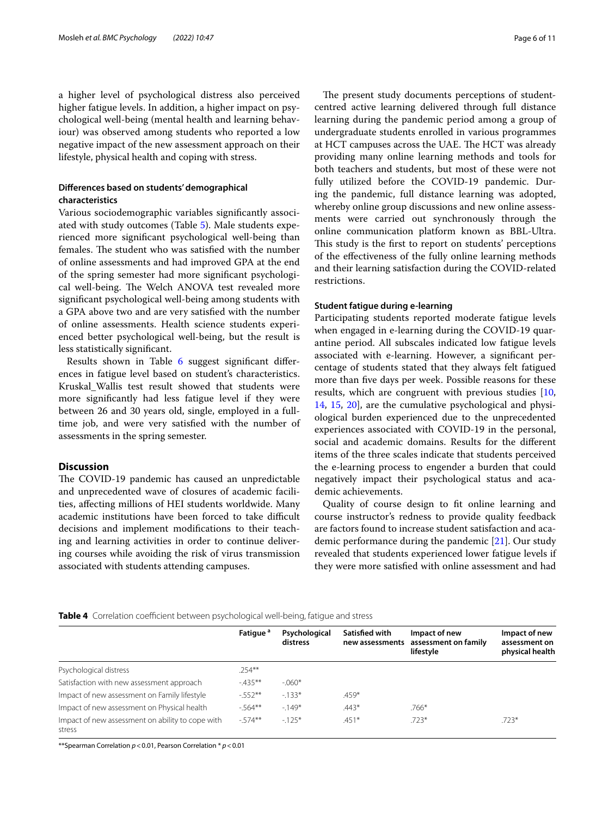a higher level of psychological distress also perceived higher fatigue levels. In addition, a higher impact on psychological well-being (mental health and learning behaviour) was observed among students who reported a low negative impact of the new assessment approach on their lifestyle, physical health and coping with stress.

## **Diferences based on students' demographical characteristics**

Various sociodemographic variables signifcantly associated with study outcomes (Table [5\)](#page-6-0). Male students experienced more signifcant psychological well-being than females. The student who was satisfied with the number of online assessments and had improved GPA at the end of the spring semester had more signifcant psychological well-being. The Welch ANOVA test revealed more signifcant psychological well-being among students with a GPA above two and are very satisfed with the number of online assessments. Health science students experienced better psychological well-being, but the result is less statistically signifcant.

Results shown in Table [6](#page-8-0) suggest signifcant diferences in fatigue level based on student's characteristics. Kruskal\_Wallis test result showed that students were more signifcantly had less fatigue level if they were between 26 and 30 years old, single, employed in a fulltime job, and were very satisfed with the number of assessments in the spring semester.

## **Discussion**

The COVID-19 pandemic has caused an unpredictable and unprecedented wave of closures of academic facilities, afecting millions of HEI students worldwide. Many academic institutions have been forced to take difficult decisions and implement modifcations to their teaching and learning activities in order to continue delivering courses while avoiding the risk of virus transmission associated with students attending campuses.

The present study documents perceptions of studentcentred active learning delivered through full distance learning during the pandemic period among a group of undergraduate students enrolled in various programmes at HCT campuses across the UAE. The HCT was already providing many online learning methods and tools for both teachers and students, but most of these were not fully utilized before the COVID-19 pandemic. During the pandemic, full distance learning was adopted, whereby online group discussions and new online assessments were carried out synchronously through the online communication platform known as BBL-Ultra. This study is the first to report on students' perceptions of the efectiveness of the fully online learning methods and their learning satisfaction during the COVID-related restrictions.

#### **Student fatigue during e‑learning**

Participating students reported moderate fatigue levels when engaged in e-learning during the COVID-19 quarantine period. All subscales indicated low fatigue levels associated with e-learning. However, a signifcant percentage of students stated that they always felt fatigued more than fve days per week. Possible reasons for these results, which are congruent with previous studies [[10](#page-10-9), [14,](#page-10-12) [15](#page-10-13), [20\]](#page-10-18), are the cumulative psychological and physiological burden experienced due to the unprecedented experiences associated with COVID-19 in the personal, social and academic domains. Results for the diferent items of the three scales indicate that students perceived the e-learning process to engender a burden that could negatively impact their psychological status and academic achievements.

Quality of course design to ft online learning and course instructor's redness to provide quality feedback are factors found to increase student satisfaction and academic performance during the pandemic [\[21\]](#page-10-19). Our study revealed that students experienced lower fatigue levels if they were more satisfed with online assessment and had

#### <span id="page-5-0"></span>Table 4 Correlation coefficient between psychological well-being, fatigue and stress

|                                                            | Fatique <sup>a</sup> | Psychological<br>distress | Satisfied with<br>new assessments | Impact of new<br>assessment on family | Impact of new<br>assessment on |
|------------------------------------------------------------|----------------------|---------------------------|-----------------------------------|---------------------------------------|--------------------------------|
|                                                            |                      |                           |                                   | lifestyle                             | physical health                |
| Psychological distress                                     | $.254***$            |                           |                                   |                                       |                                |
| Satisfaction with new assessment approach                  | $-435**$             | $-060*$                   |                                   |                                       |                                |
| Impact of new assessment on Family lifestyle               | $-552**$             | $-133*$                   | $.459*$                           |                                       |                                |
| Impact of new assessment on Physical health                | $-564**$             | $-149*$                   | $.443*$                           | $.766*$                               |                                |
| Impact of new assessment on ability to cope with<br>stress | $-574**$             | $-125*$                   | $.451*$                           | $.723*$                               | $.723*$                        |

\*\*Spearman Correlation *p*<0.01, Pearson Correlation \* *p*<0.01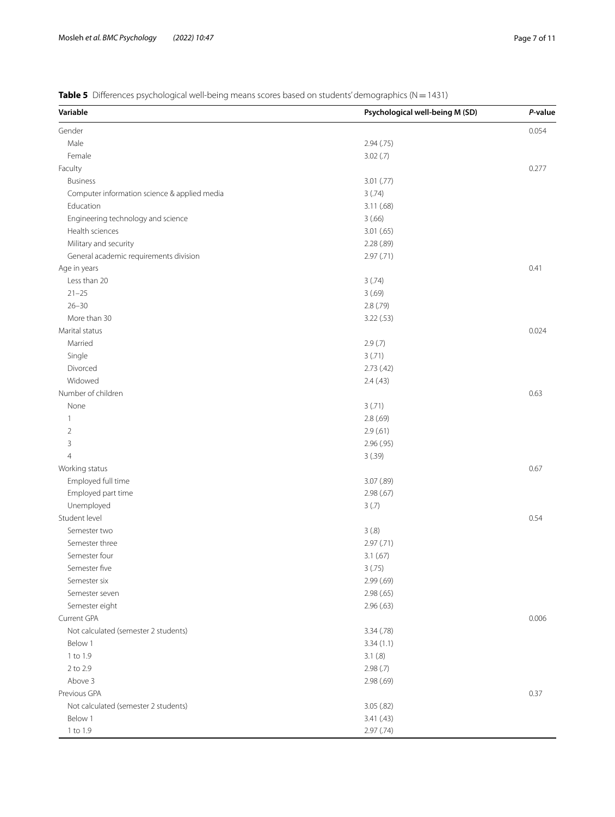<span id="page-6-0"></span>**Table 5** Differences psychological well-being means scores based on students' demographics (N=1431)

| Variable                                     | Psychological well-being M (SD) | P-value |
|----------------------------------------------|---------------------------------|---------|
| Gender                                       |                                 | 0.054   |
| Male                                         | 2.94(.75)                       |         |
| Female                                       | 3.02(.7)                        |         |
| Faculty                                      |                                 | 0.277   |
| <b>Business</b>                              | 3.01 (.77)                      |         |
| Computer information science & applied media | 3(.74)                          |         |
| Education                                    | 3.11(.68)                       |         |
| Engineering technology and science           | 3(.66)                          |         |
| Health sciences                              | 3.01(.65)                       |         |
| Military and security                        | 2.28 (.89)                      |         |
| General academic requirements division       | 2.97(0.71)                      |         |
| Age in years                                 |                                 | 0.41    |
| Less than 20                                 | 3(.74)                          |         |
| $21 - 25$                                    | 3(.69)                          |         |
| $26 - 30$                                    | 2.8(.79)                        |         |
| More than 30                                 | 3.22(.53)                       |         |
| Marital status                               |                                 | 0.024   |
| Married                                      | 2.9(.7)                         |         |
| Single                                       | 3(.71)                          |         |
| Divorced                                     | 2.73(42)                        |         |
| Widowed                                      |                                 |         |
|                                              | 2.4(43)                         |         |
| Number of children                           |                                 | 0.63    |
| None                                         | 3(.71)                          |         |
| $\mathbf{1}$                                 | 2.8(.69)                        |         |
| $\overline{2}$                               | 2.9(61)                         |         |
| 3                                            | 2.96 (.95)                      |         |
| $\overline{4}$                               | 3(.39)                          |         |
| Working status                               |                                 | 0.67    |
| Employed full time                           | 3.07 (.89)                      |         |
| Employed part time                           | 2.98(.67)                       |         |
| Unemployed                                   | 3(.7)                           |         |
| Student level                                |                                 | 0.54    |
| Semester two                                 | 3(.8)                           |         |
| Semester three                               | 2.97 (.71)                      |         |
| Semester four                                | 3.1(.67)                        |         |
| Semester five                                | 3(.75)                          |         |
| Semester six                                 | 2.99(0.69)                      |         |
| Semester seven                               | 2.98(.65)                       |         |
| Semester eight                               | 2.96(.63)                       |         |
| Current GPA                                  |                                 | 0.006   |
| Not calculated (semester 2 students)         | 3.34 (.78)                      |         |
| Below 1                                      | 3.34(1.1)                       |         |
| 1 to 1.9                                     | 3.1(.8)                         |         |
| 2 to 2.9                                     | 2.98(.7)                        |         |
| Above 3                                      | 2.98(.69)                       |         |
| Previous GPA                                 |                                 | 0.37    |
| Not calculated (semester 2 students)         | 3.05(.82)                       |         |
| Below 1                                      | 3.41(.43)                       |         |
| 1 to 1.9                                     | 2.97(.74)                       |         |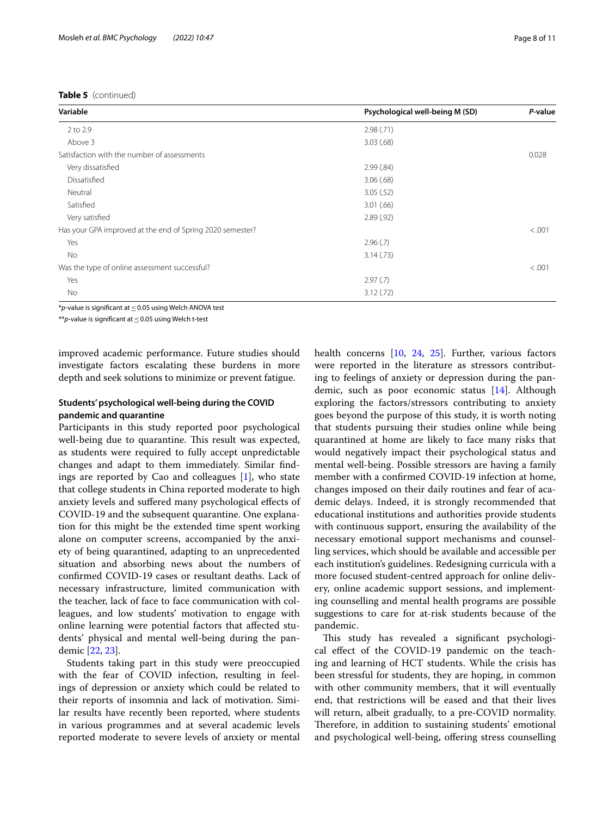| Variable                                                  | Psychological well-being M (SD) | P-value |
|-----------------------------------------------------------|---------------------------------|---------|
| 2 to 2.9                                                  | 2.98(.71)                       |         |
| Above 3                                                   | 3.03(.68)                       |         |
| Satisfaction with the number of assessments               |                                 | 0.028   |
| Very dissatisfied                                         | 2.99(.84)                       |         |
| Dissatisfied                                              | 3.06(.68)                       |         |
| Neutral                                                   | 3.05(.52)                       |         |
| Satisfied                                                 | 3.01(.66)                       |         |
| Very satisfied                                            | 2.89(.92)                       |         |
| Has your GPA improved at the end of Spring 2020 semester? |                                 | < .001  |
| Yes                                                       | 2.96(.7)                        |         |
| No                                                        | 3.14(.73)                       |         |
| Was the type of online assessment successful?             |                                 | < .001  |
| Yes                                                       | 2.97(0.7)                       |         |
| No                                                        | 3.12(.72)                       |         |

\**p-*value is signifcant at≤0.05 using Welch ANOVA test

\*\**p-*value is signifcant at≤0.05 using Welch t-test

improved academic performance. Future studies should investigate factors escalating these burdens in more depth and seek solutions to minimize or prevent fatigue.

## **Students' psychological well‑being during the COVID pandemic and quarantine**

Participants in this study reported poor psychological well-being due to quarantine. This result was expected, as students were required to fully accept unpredictable changes and adapt to them immediately. Similar fndings are reported by Cao and colleagues [[1\]](#page-10-0), who state that college students in China reported moderate to high anxiety levels and sufered many psychological efects of COVID-19 and the subsequent quarantine. One explanation for this might be the extended time spent working alone on computer screens, accompanied by the anxiety of being quarantined, adapting to an unprecedented situation and absorbing news about the numbers of confrmed COVID-19 cases or resultant deaths. Lack of necessary infrastructure, limited communication with the teacher, lack of face to face communication with colleagues, and low students' motivation to engage with online learning were potential factors that afected students' physical and mental well-being during the pandemic [\[22](#page-10-20), [23](#page-10-21)].

Students taking part in this study were preoccupied with the fear of COVID infection, resulting in feelings of depression or anxiety which could be related to their reports of insomnia and lack of motivation. Similar results have recently been reported, where students in various programmes and at several academic levels reported moderate to severe levels of anxiety or mental health concerns [\[10](#page-10-9), [24,](#page-10-22) [25](#page-10-23)]. Further, various factors were reported in the literature as stressors contributing to feelings of anxiety or depression during the pandemic, such as poor economic status [\[14\]](#page-10-12). Although exploring the factors/stressors contributing to anxiety goes beyond the purpose of this study, it is worth noting that students pursuing their studies online while being quarantined at home are likely to face many risks that would negatively impact their psychological status and mental well-being. Possible stressors are having a family member with a confrmed COVID-19 infection at home, changes imposed on their daily routines and fear of academic delays. Indeed, it is strongly recommended that educational institutions and authorities provide students with continuous support, ensuring the availability of the necessary emotional support mechanisms and counselling services, which should be available and accessible per each institution's guidelines. Redesigning curricula with a more focused student-centred approach for online delivery, online academic support sessions, and implementing counselling and mental health programs are possible suggestions to care for at-risk students because of the pandemic.

This study has revealed a significant psychological efect of the COVID-19 pandemic on the teaching and learning of HCT students. While the crisis has been stressful for students, they are hoping, in common with other community members, that it will eventually end, that restrictions will be eased and that their lives will return, albeit gradually, to a pre-COVID normality. Therefore, in addition to sustaining students' emotional and psychological well-being, ofering stress counselling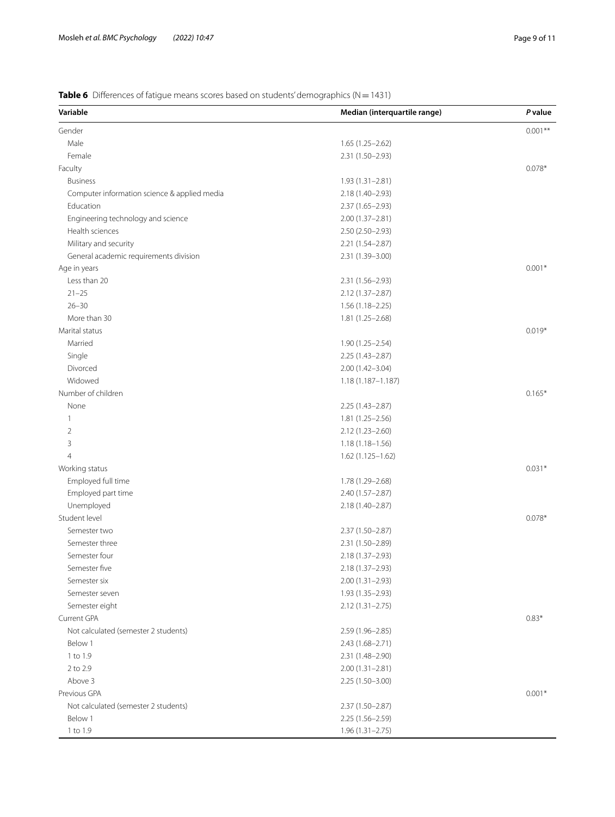<span id="page-8-0"></span>**Table 6** Differences of fatigue means scores based on students' demographics (N=1431)

| Variable                                     | Median (interquartile range) | P value   |
|----------------------------------------------|------------------------------|-----------|
| Gender                                       |                              | $0.001**$ |
| Male                                         | $1.65(1.25-2.62)$            |           |
| Female                                       | 2.31 (1.50-2.93)             |           |
| Faculty                                      |                              | $0.078*$  |
| <b>Business</b>                              | $1.93(1.31 - 2.81)$          |           |
| Computer information science & applied media | 2.18 (1.40-2.93)             |           |
| Education                                    | $2.37(1.65 - 2.93)$          |           |
| Engineering technology and science           | $2.00(1.37 - 2.81)$          |           |
| Health sciences                              | $2.50(2.50-2.93)$            |           |
| Military and security                        | 2.21 (1.54-2.87)             |           |
| General academic requirements division       | 2.31 (1.39-3.00)             |           |
| Age in years                                 |                              | $0.001*$  |
| Less than 20                                 | 2.31 (1.56-2.93)             |           |
| $21 - 25$                                    | $2.12(1.37 - 2.87)$          |           |
| $26 - 30$                                    | $1.56(1.18 - 2.25)$          |           |
| More than 30                                 | $1.81(1.25 - 2.68)$          |           |
| Marital status                               |                              | $0.019*$  |
| Married                                      | 1.90 (1.25-2.54)             |           |
| Single                                       | $2.25(1.43 - 2.87)$          |           |
| Divorced                                     | $2.00(1.42 - 3.04)$          |           |
| Widowed                                      | $1.18(1.187 - 1.187)$        |           |
| Number of children                           |                              | $0.165*$  |
| None                                         | $2.25(1.43 - 2.87)$          |           |
| 1                                            |                              |           |
|                                              | $1.81(1.25 - 2.56)$          |           |
| $\overline{2}$                               | $2.12(1.23 - 2.60)$          |           |
| 3                                            | $1.18(1.18 - 1.56)$          |           |
| $\overline{4}$                               | 1.62 (1.125-1.62)            |           |
| Working status                               |                              | $0.031*$  |
| Employed full time                           | 1.78 (1.29-2.68)             |           |
| Employed part time                           | 2.40 (1.57-2.87)             |           |
| Unemployed                                   | 2.18 (1.40-2.87)             |           |
| Student level                                |                              | $0.078*$  |
| Semester two                                 | 2.37 (1.50-2.87)             |           |
| Semester three                               | 2.31 (1.50-2.89)             |           |
| Semester four                                | 2.18 (1.37-2.93)             |           |
| Semester five                                | 2.18 (1.37-2.93)             |           |
| Semester six                                 | $2.00(1.31 - 2.93)$          |           |
| Semester seven                               | 1.93 (1.35-2.93)             |           |
| Semester eight                               | $2.12(1.31 - 2.75)$          |           |
| Current GPA                                  |                              | $0.83*$   |
| Not calculated (semester 2 students)         | 2.59 (1.96-2.85)             |           |
| Below 1                                      | 2.43 (1.68-2.71)             |           |
| 1 to 1.9                                     | 2.31 (1.48-2.90)             |           |
| 2 to 2.9                                     | $2.00(1.31 - 2.81)$          |           |
| Above 3                                      | $2.25(1.50-3.00)$            |           |
| Previous GPA                                 |                              | $0.001*$  |
| Not calculated (semester 2 students)         | 2.37 (1.50-2.87)             |           |
| Below 1                                      | $2.25(1.56 - 2.59)$          |           |
| 1 to 1.9                                     | $1.96(1.31 - 2.75)$          |           |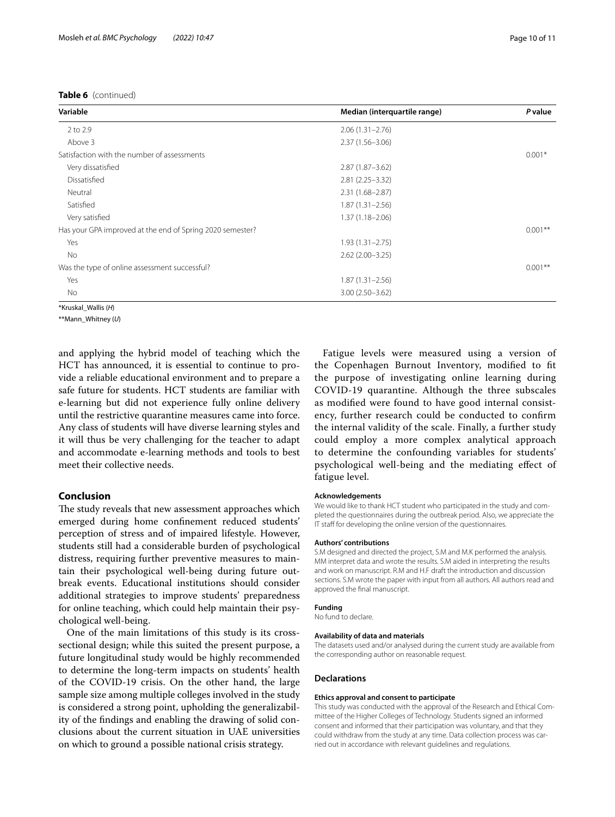| Variable                                                  | Median (interquartile range) | P value   |
|-----------------------------------------------------------|------------------------------|-----------|
| 2 to 2.9                                                  | $2.06(1.31 - 2.76)$          |           |
| Above 3                                                   | $2.37(1.56 - 3.06)$          |           |
| Satisfaction with the number of assessments               |                              | $0.001*$  |
| Very dissatisfied                                         | $2.87(1.87 - 3.62)$          |           |
| Dissatisfied                                              | $2.81(2.25 - 3.32)$          |           |
| Neutral                                                   | $2.31(1.68 - 2.87)$          |           |
| Satisfied                                                 | $1.87(1.31 - 2.56)$          |           |
| Very satisfied                                            | $1.37(1.18 - 2.06)$          |           |
| Has your GPA improved at the end of Spring 2020 semester? |                              | $0.001**$ |
| Yes                                                       | $1.93(1.31 - 2.75)$          |           |
| No                                                        | $2.62(2.00 - 3.25)$          |           |
| Was the type of online assessment successful?             |                              | $0.001**$ |
| Yes                                                       | $1.87(1.31 - 2.56)$          |           |
| No                                                        | $3.00(2.50 - 3.62)$          |           |
| *Kruskal Wallis (H)                                       |                              |           |

\*\*Mann\_Whitney (*U*)

and applying the hybrid model of teaching which the HCT has announced, it is essential to continue to provide a reliable educational environment and to prepare a safe future for students. HCT students are familiar with e-learning but did not experience fully online delivery until the restrictive quarantine measures came into force. Any class of students will have diverse learning styles and it will thus be very challenging for the teacher to adapt and accommodate e-learning methods and tools to best meet their collective needs.

#### **Conclusion**

The study reveals that new assessment approaches which emerged during home confnement reduced students' perception of stress and of impaired lifestyle. However, students still had a considerable burden of psychological distress, requiring further preventive measures to maintain their psychological well-being during future outbreak events. Educational institutions should consider additional strategies to improve students' preparedness for online teaching, which could help maintain their psychological well-being.

One of the main limitations of this study is its crosssectional design; while this suited the present purpose, a future longitudinal study would be highly recommended to determine the long-term impacts on students' health of the COVID-19 crisis. On the other hand, the large sample size among multiple colleges involved in the study is considered a strong point, upholding the generalizability of the fndings and enabling the drawing of solid conclusions about the current situation in UAE universities on which to ground a possible national crisis strategy.

Fatigue levels were measured using a version of the Copenhagen Burnout Inventory, modifed to ft the purpose of investigating online learning during COVID-19 quarantine. Although the three subscales as modifed were found to have good internal consistency, further research could be conducted to confrm the internal validity of the scale. Finally, a further study could employ a more complex analytical approach to determine the confounding variables for students' psychological well-being and the mediating efect of fatigue level.

#### **Acknowledgements**

We would like to thank HCT student who participated in the study and completed the questionnaires during the outbreak period. Also, we appreciate the IT staff for developing the online version of the questionnaires.

#### **Authors' contributions**

S.M designed and directed the project, S.M and M.K performed the analysis. MM interpret data and wrote the results. S.M aided in interpreting the results and work on manuscript. R.M and H.F draft the introduction and discussion sections. S.M wrote the paper with input from all authors. All authors read and approved the fnal manuscript.

#### **Funding**

No fund to declare.

#### **Availability of data and materials**

The datasets used and/or analysed during the current study are available from the corresponding author on reasonable request.

#### **Declarations**

#### **Ethics approval and consent to participate**

This study was conducted with the approval of the Research and Ethical Committee of the Higher Colleges of Technology. Students signed an informed consent and informed that their participation was voluntary, and that they could withdraw from the study at any time. Data collection process was carried out in accordance with relevant guidelines and regulations.